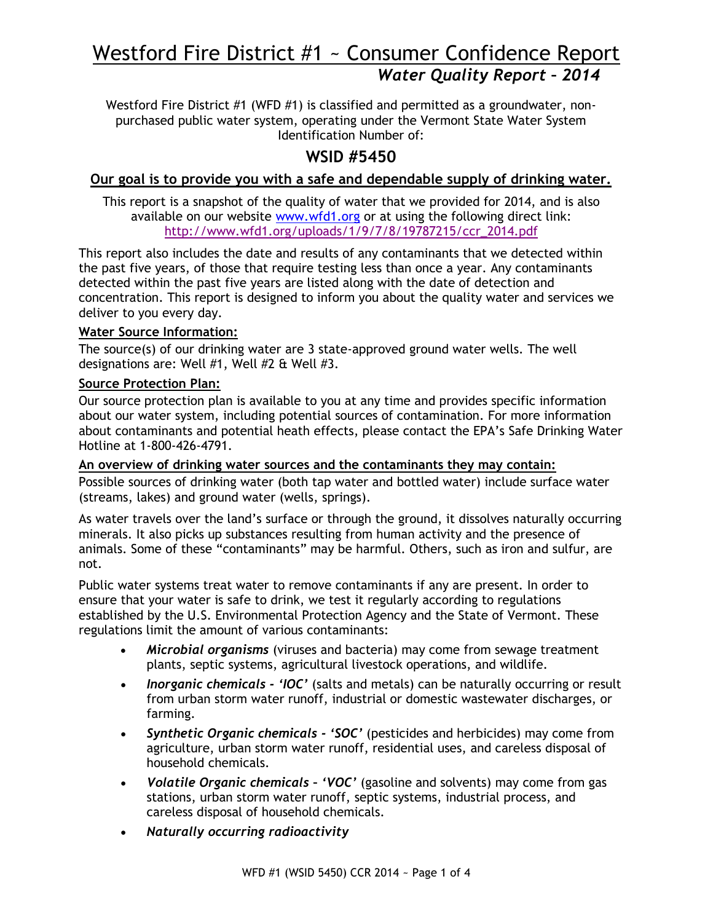# Westford Fire District #1 ~ Consumer Confidence Report *Water Quality Report – 2014*

Westford Fire District #1 (WFD #1) is classified and permitted as a groundwater, nonpurchased public water system, operating under the Vermont State Water System Identification Number of:

# **WSID #5450**

# **Our goal is to provide you with a safe and dependable supply of drinking water.**

This report is a snapshot of the quality of water that we provided for 2014, and is also available on our website [www.wfd1.org](http://www.wfd1.org/) or at using the following direct link: [http://www.wfd1.org/uploads/1/9/7/8/19787215/ccr\\_2014.pdf](http://www.wfd1.org/uploads/1/9/7/8/19787215/ccr_2014.pdf)

This report also includes the date and results of any contaminants that we detected within the past five years, of those that require testing less than once a year. Any contaminants detected within the past five years are listed along with the date of detection and concentration. This report is designed to inform you about the quality water and services we deliver to you every day.

### **Water Source Information:**

The source(s) of our drinking water are 3 state-approved ground water wells. The well designations are: Well #1, Well #2 & Well #3.

# **Source Protection Plan:**

Our source protection plan is available to you at any time and provides specific information about our water system, including potential sources of contamination. For more information about contaminants and potential heath effects, please contact the EPA's Safe Drinking Water Hotline at 1-800-426-4791.

#### **An overview of drinking water sources and the contaminants they may contain:**

Possible sources of drinking water (both tap water and bottled water) include surface water (streams, lakes) and ground water (wells, springs).

As water travels over the land's surface or through the ground, it dissolves naturally occurring minerals. It also picks up substances resulting from human activity and the presence of animals. Some of these "contaminants" may be harmful. Others, such as iron and sulfur, are not.

Public water systems treat water to remove contaminants if any are present. In order to ensure that your water is safe to drink, we test it regularly according to regulations established by the U.S. Environmental Protection Agency and the State of Vermont. These regulations limit the amount of various contaminants:

- *Microbial organisms* (viruses and bacteria) may come from sewage treatment plants, septic systems, agricultural livestock operations, and wildlife.
- *Inorganic chemicals - 'IOC'* (salts and metals) can be naturally occurring or result from urban storm water runoff, industrial or domestic wastewater discharges, or farming.
- *Synthetic Organic chemicals - 'SOC'* (pesticides and herbicides) may come from agriculture, urban storm water runoff, residential uses, and careless disposal of household chemicals.
- *Volatile Organic chemicals – 'VOC'* (gasoline and solvents) may come from gas stations, urban storm water runoff, septic systems, industrial process, and careless disposal of household chemicals.
- *Naturally occurring radioactivity*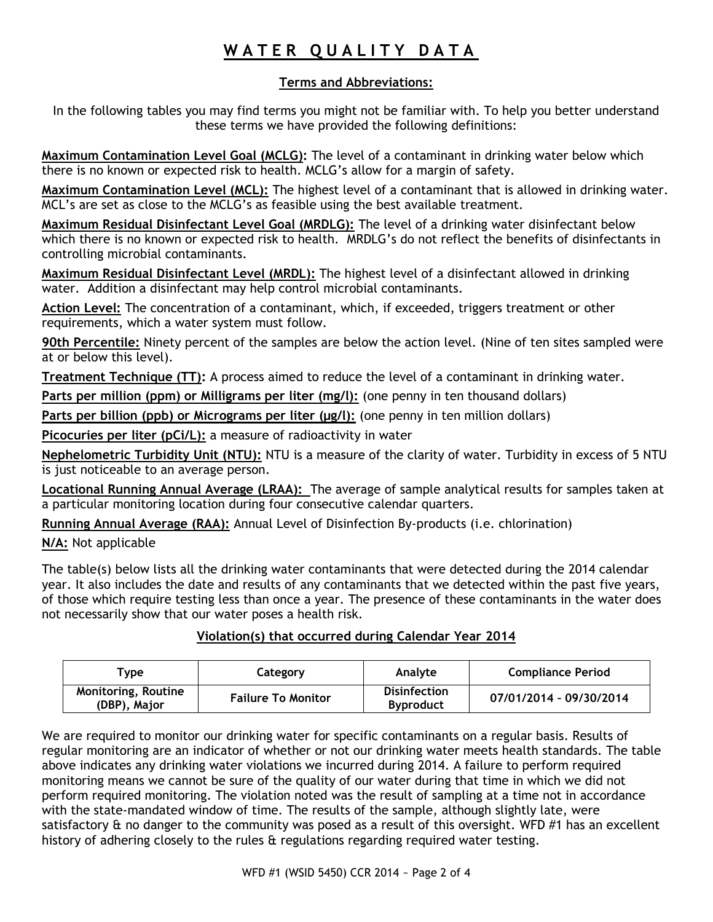# WATER QUALITY DATA

# **Terms and Abbreviations:**

In the following tables you may find terms you might not be familiar with. To help you better understand these terms we have provided the following definitions:

**Maximum Contamination Level Goal (MCLG):** The level of a contaminant in drinking water below which there is no known or expected risk to health. MCLG's allow for a margin of safety.

**Maximum Contamination Level (MCL):** The highest level of a contaminant that is allowed in drinking water. MCL's are set as close to the MCLG's as feasible using the best available treatment.

**Maximum Residual Disinfectant Level Goal (MRDLG):** The level of a drinking water disinfectant below which there is no known or expected risk to health. MRDLG's do not reflect the benefits of disinfectants in controlling microbial contaminants.

**Maximum Residual Disinfectant Level (MRDL):** The highest level of a disinfectant allowed in drinking water. Addition a disinfectant may help control microbial contaminants.

**Action Level:** The concentration of a contaminant, which, if exceeded, triggers treatment or other requirements, which a water system must follow.

**90th Percentile:** Ninety percent of the samples are below the action level. (Nine of ten sites sampled were at or below this level).

**Treatment Technique (TT):** A process aimed to reduce the level of a contaminant in drinking water.

Parts per million (ppm) or Milligrams per liter (mg/l): (one penny in ten thousand dollars)

Parts per billion (ppb) or Micrograms per liter (µg/l): (one penny in ten million dollars)

**Picocuries per liter (pCi/L):** a measure of radioactivity in water

**Nephelometric Turbidity Unit (NTU):** NTU is a measure of the clarity of water. Turbidity in excess of 5 NTU is just noticeable to an average person.

**Locational Running Annual Average (LRAA):** The average of sample analytical results for samples taken at a particular monitoring location during four consecutive calendar quarters.

**Running Annual Average (RAA):** Annual Level of Disinfection By-products (i.e. chlorination)

**N/A:** Not applicable

The table(s) below lists all the drinking water contaminants that were detected during the 2014 calendar year. It also includes the date and results of any contaminants that we detected within the past five years, of those which require testing less than once a year. The presence of these contaminants in the water does not necessarily show that our water poses a health risk.

## **Violation(s) that occurred during Calendar Year 2014**

| $\mathsf{v}$ rvpe                          | Category                  | Analyte                                 | <b>Compliance Period</b> |
|--------------------------------------------|---------------------------|-----------------------------------------|--------------------------|
| <b>Monitoring, Routine</b><br>(DBP), Major | <b>Failure To Monitor</b> | <b>Disinfection</b><br><b>Byproduct</b> | 07/01/2014 - 09/30/2014  |

We are required to monitor our drinking water for specific contaminants on a regular basis. Results of regular monitoring are an indicator of whether or not our drinking water meets health standards. The table above indicates any drinking water violations we incurred during 2014. A failure to perform required monitoring means we cannot be sure of the quality of our water during that time in which we did not perform required monitoring. The violation noted was the result of sampling at a time not in accordance with the state-mandated window of time. The results of the sample, although slightly late, were satisfactory & no danger to the community was posed as a result of this oversight. WFD #1 has an excellent history of adhering closely to the rules & regulations regarding required water testing.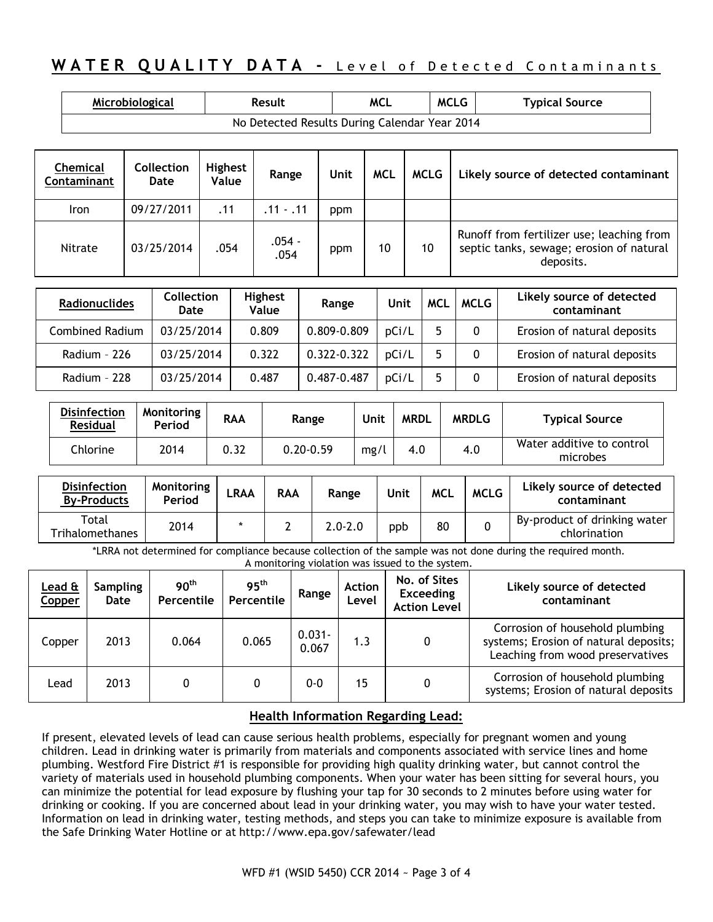# **WATER QUALITY DATA - Level of Detected Contaminants**

| Microbiological                               | Result | <b>MCL</b> | <b>MCLG</b> | <b>Typical Source</b> |  |  |  |
|-----------------------------------------------|--------|------------|-------------|-----------------------|--|--|--|
| No Detected Results During Calendar Year 2014 |        |            |             |                       |  |  |  |

| Chemical<br>Contaminant | <b>Collection</b><br>Date | <b>Highest</b><br>Value | Range            | Unit | <b>MCL</b> | MCLG | Likely source of detected contaminant                                                              |
|-------------------------|---------------------------|-------------------------|------------------|------|------------|------|----------------------------------------------------------------------------------------------------|
| <b>Iron</b>             | 09/27/2011                | .11                     | $.11 - .11$      | ppm  |            |      |                                                                                                    |
| Nitrate                 | 03/25/2014                | .054                    | $.054 -$<br>.054 | ppm  | 10         | 10   | Runoff from fertilizer use; leaching from<br>septic tanks, sewage; erosion of natural<br>deposits. |

| <b>Radionuclides</b> | <b>Collection</b><br>Date | <b>Highest</b><br>Value | Range       | Unit  | <b>MCL</b> | <b>MCLG</b> | Likely source of detected<br>contaminant |
|----------------------|---------------------------|-------------------------|-------------|-------|------------|-------------|------------------------------------------|
| Combined Radium      | 03/25/2014                | 0.809                   | 0.809-0.809 | pCi/L |            |             | Erosion of natural deposits              |
| Radium - 226         | 03/25/2014                | 0.322                   | 0.322-0.322 | pCi/L |            |             | Erosion of natural deposits              |
| Radium - 228         | 03/25/2014                | 0.487                   | 0.487-0.487 | pCi/L |            |             | Erosion of natural deposits              |

| <b>Disinfection</b><br><b>Residual</b> | Monitoring<br>Period | <b>RAA</b> | Range         | Unit | <b>MRDL</b> | <b>MRDLG</b> | <b>Typical Source</b>                 |
|----------------------------------------|----------------------|------------|---------------|------|-------------|--------------|---------------------------------------|
| Chlorine                               | 2014                 | 0.32       | $0.20 - 0.59$ | mg/  | 4.0         | 4.0          | Water additive to control<br>microbes |

| <b>Disinfection</b><br><b>By-Products</b> | Monitoring<br>Period | <b>LRAA</b> | <b>RAA</b> | Range       | Unit | <b>MCL</b> | <b>MCLG</b> | Likely source of detected<br>contaminant     |
|-------------------------------------------|----------------------|-------------|------------|-------------|------|------------|-------------|----------------------------------------------|
| Total<br>Trihalomethanes                  | 2014                 |             |            | $2.0 - 2.0$ | ppb  | 80         |             | By-product of drinking water<br>chlorination |

\*LRRA not determined for compliance because collection of the sample was not done during the required month. A monitoring violation was issued to the system.

| Lead &<br><b>Copper</b> | <b>Sampling</b><br>Date | 90 <sup>th</sup><br>Percentile | 95 <sup>th</sup><br>Percentile | Range              | <b>Action</b><br>Level | No. of Sites<br><b>Exceeding</b><br><b>Action Level</b> | Likely source of detected<br>contaminant                                                                     |
|-------------------------|-------------------------|--------------------------------|--------------------------------|--------------------|------------------------|---------------------------------------------------------|--------------------------------------------------------------------------------------------------------------|
| Copper                  | 2013                    | 0.064                          | 0.065                          | $0.031 -$<br>0.067 | 1.3                    | 0                                                       | Corrosion of household plumbing<br>systems; Erosion of natural deposits;<br>Leaching from wood preservatives |
| Lead                    | 2013                    |                                |                                | 0-0                | 15                     |                                                         | Corrosion of household plumbing<br>systems; Erosion of natural deposits                                      |

#### **Health Information Regarding Lead:**

If present, elevated levels of lead can cause serious health problems, especially for pregnant women and young children. Lead in drinking water is primarily from materials and components associated with service lines and home plumbing. Westford Fire District #1 is responsible for providing high quality drinking water, but cannot control the variety of materials used in household plumbing components. When your water has been sitting for several hours, you can minimize the potential for lead exposure by flushing your tap for 30 seconds to 2 minutes before using water for drinking or cooking. If you are concerned about lead in your drinking water, you may wish to have your water tested. Information on lead in drinking water, testing methods, and steps you can take to minimize exposure is available from the Safe Drinking Water Hotline or at <http://www.epa.gov/safewater/lead>